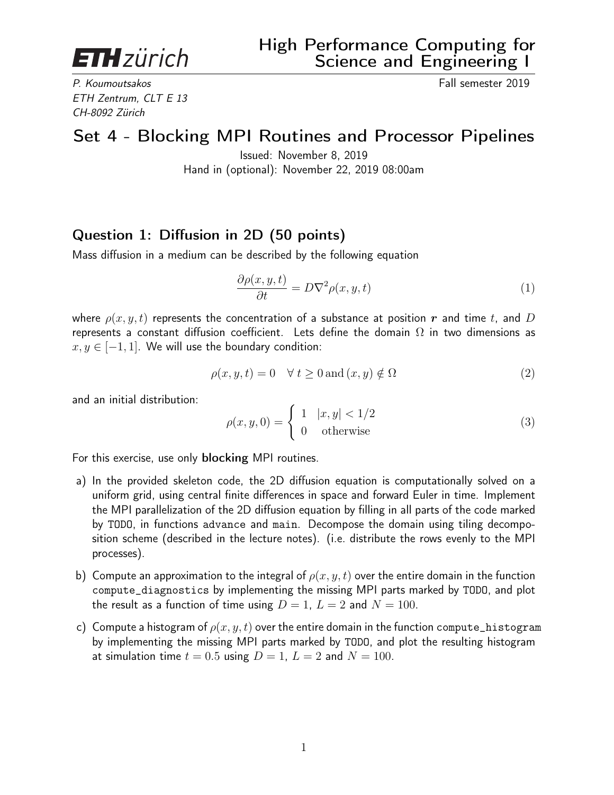**ETH**zürich

P. Koumoutsakos Fall semester 2019 ETH Zentrum, CLT E 13 CH-8092 Zürich

## Set 4 - Blocking MPI Routines and Processor Pipelines

Issued: November 8, 2019 Hand in (optional): November 22, 2019 08:00am

## Question 1: Diffusion in 2D (50 points)

Mass diffusion in a medium can be described by the following equation

$$
\frac{\partial \rho(x, y, t)}{\partial t} = D \nabla^2 \rho(x, y, t) \tag{1}
$$

where  $\rho(x, y, t)$  represents the concentration of a substance at position r and time t, and D represents a constant diffusion coefficient. Lets define the domain  $\Omega$  in two dimensions as  $x, y \in [-1, 1]$ . We will use the boundary condition:

$$
\rho(x, y, t) = 0 \quad \forall \ t \ge 0 \text{ and } (x, y) \notin \Omega \tag{2}
$$

and an initial distribution:

$$
\rho(x, y, 0) = \begin{cases} 1 & |x, y| < 1/2 \\ 0 & \text{otherwise} \end{cases} \tag{3}
$$

For this exercise, use only blocking MPI routines.

- a) In the provided skeleton code, the 2D diffusion equation is computationally solved on a uniform grid, using central finite differences in space and forward Euler in time. Implement the MPI parallelization of the 2D diffusion equation by filling in all parts of the code marked by TODO, in functions advance and main. Decompose the domain using tiling decomposition scheme (described in the lecture notes). (i.e. distribute the rows evenly to the MPI processes).
- b) Compute an approximation to the integral of  $\rho(x, y, t)$  over the entire domain in the function compute\_diagnostics by implementing the missing MPI parts marked by TODO, and plot the result as a function of time using  $D = 1$ ,  $L = 2$  and  $N = 100$ .
- c) Compute a histogram of  $\rho(x, y, t)$  over the entire domain in the function compute\_histogram by implementing the missing MPI parts marked by TODO, and plot the resulting histogram at simulation time  $t = 0.5$  using  $D = 1$ ,  $L = 2$  and  $N = 100$ .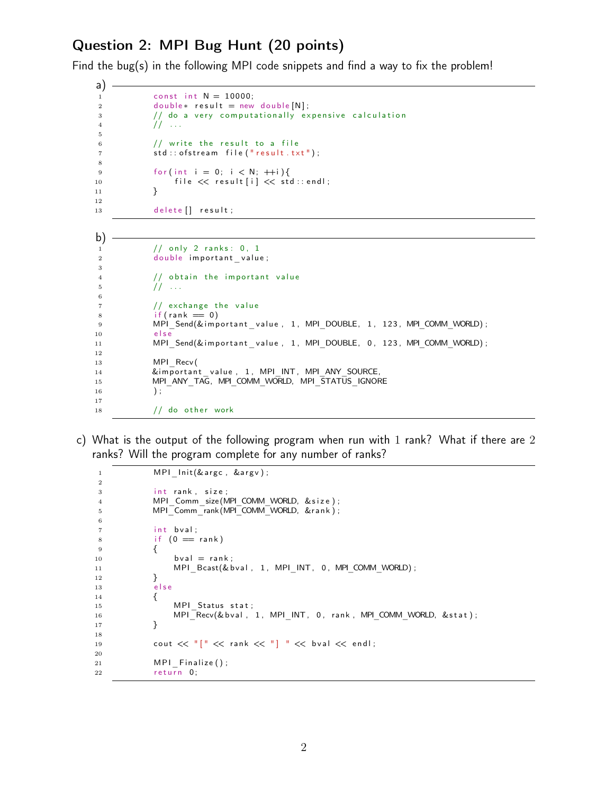## Question 2: MPI Bug Hunt (20 points)

Find the bug(s) in the following MPI code snippets and find a way to fix the problem!

```
a)
1 const int N = 10000;
2 double* result = new double [N];
3 // do a very computationally expensive calculation
4 // ...
5
6 // write the result to a file
7 std:: of stream file (" result . txt");
8
9 for (int i = 0; i < N; ++i) {
10 file << result [i] << std::endl;
11  }
12
13 delete [] result;
```

```
b)
1 // only 2 ranks: 0, 1
2 double important value;
3
4 // obtain the important value
5 // ...
6
7 // exchange the value
8 if (rank = 0)
9 MPI_Send(& im p or t ant v a lue, 1, MPI_DOUBLE, 1, 123, MPI_COMM_WORLD);
10 else
11 MPI_Send(&important_value, 1, MPI_DOUBLE, 0, 123, MPI_COMM_WORLD);
12
13 MPI Recv (
14 &important value, 1, MPI INT, MPI ANY SOURCE.
15 MPI_ANY_TAG, MPI_COMM_WORLD, MPI_STATUS_IGNORE
16 );
17
18 // do other work
```
c) What is the output of the following program when run with 1 rank? What if there are 2 ranks? Will the program complete for any number of ranks?

```
1 MPI Init (& argc, &argv);
2
3 int rank, size;
4 MPI Comm_size (MPI_COMM_WORLD, & s i z e ) ;
5 MPI Comm rank (MPI COMM WORLD, &r an k );
6
7 int bval;
8 if (0 == rank)9 {
10 bval = rank;
11 MPI_Bcast(& b v al , 1, MPI_INT, 0, MPI_COMM_WORLD);
12  }
13 e l s e
14 {
15 MPI Status stat;
16 MPI_Recv(& b v al , MPI_INT, 0, rank, MPI_COMM_WORLD, & stat);
17 }
18
19 cout << "[" << rank << "] " << box]20
21 MPI Finalize ( );
22 return 0;
```